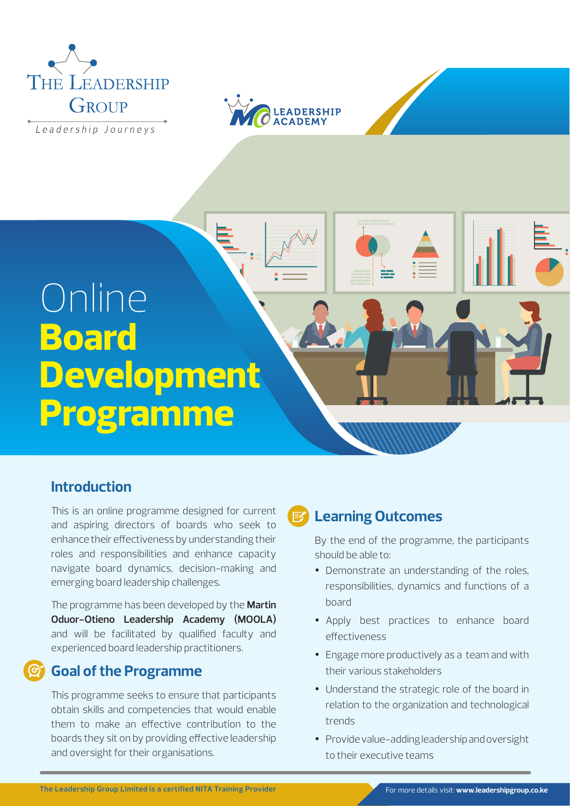

Leadership Journeys



# Online **Board Development Programme**

# **Introduction**

This is an online programme designed for current and aspiring directors of boards who seek to enhance their effectiveness by understanding their roles and responsibilities and enhance capacity navigate board dynamics, decision-making and emerging board leadership challenges.

The programme has been developed by the **Martin Oduor-Otieno Leadership Academy (MOOLA)** and will be facilitated by qualified faculty and experienced board leadership practitioners.

# **Goal of the Programme**

This programme seeks to ensure that participants obtain skills and competencies that would enable them to make an effective contribution to the boards they sit on by providing effective leadership and oversight for their organisations.

# **Learning Outcomes**

By the end of the programme, the participants should be able to:

- Demonstrate an understanding of the roles, responsibilities, dynamics and functions of a board
- Apply best practices to enhance board effectiveness
- Engage more productively as a team and with their various stakeholders
- Understand the strategic role of the board in relation to the organization and technological trends
- Provide value-adding leadership and oversight to their executive teams